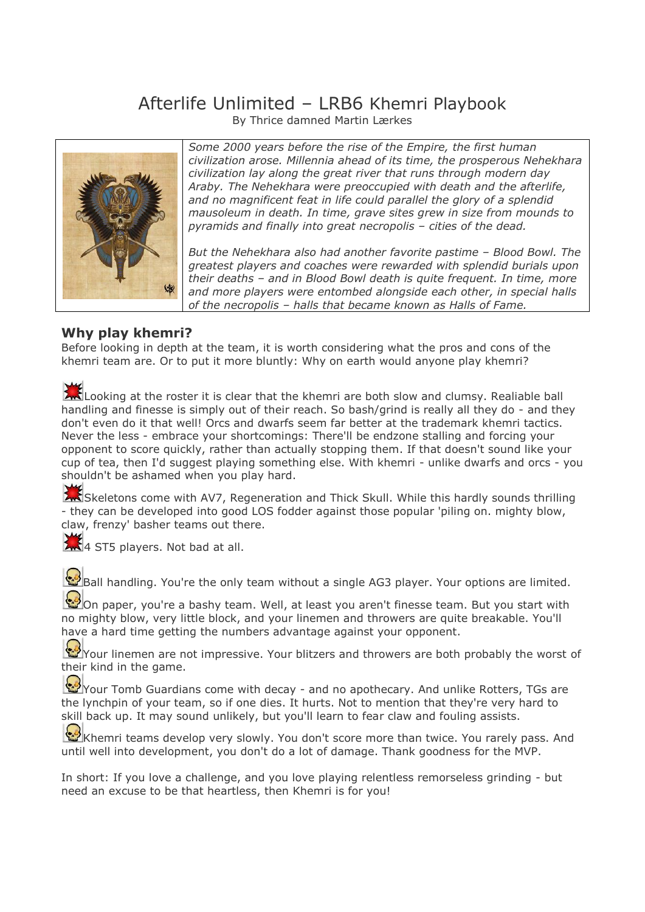# Afterlife Unlimited – LRB6 Khemri Playbook

By Thrice damned Martin Lærkes



*Some 2000 years before the rise of the Empire, the first human civilization arose. Millennia ahead of its time, the prosperous Nehekhara civilization lay along the great river that runs through modern day Araby. The Nehekhara were preoccupied with death and the afterlife, and no magnificent feat in life could parallel the glory of a splendid mausoleum in death. In time, grave sites grew in size from mounds to pyramids and finally into great necropolis – cities of the dead.*

*But the Nehekhara also had another favorite pastime – Blood Bowl. The greatest players and coaches were rewarded with splendid burials upon their deaths – and in Blood Bowl death is quite frequent. In time, more and more players were entombed alongside each other, in special halls of the necropolis – halls that became known as Halls of Fame.*

# **Why play khemri?**

Before looking in depth at the team, it is worth considering what the pros and cons of the khemri team are. Or to put it more bluntly: Why on earth would anyone play khemri?

Looking at the roster it is clear that the khemri are both slow and clumsy. Realiable ball handling and finesse is simply out of their reach. So bash/grind is really all they do - and they don't even do it that well! Orcs and dwarfs seem far better at the trademark khemri tactics. Never the less - embrace your shortcomings: There'll be endzone stalling and forcing your opponent to score quickly, rather than actually stopping them. If that doesn't sound like your cup of tea, then I'd suggest playing something else. With khemri - unlike dwarfs and orcs - you shouldn't be ashamed when you play hard.

Skeletons come with AV7, Regeneration and Thick Skull. While this hardly sounds thrilling - they can be developed into good LOS fodder against those popular 'piling on. mighty blow, claw, frenzy' basher teams out there.

 $\frac{1}{4}$  ST5 players. Not bad at all.

Ball handling. You're the only team without a single AG3 player. Your options are limited.

On paper, you're a bashy team. Well, at least you aren't finesse team. But you start with no mighty blow, very little block, and your linemen and throwers are quite breakable. You'll have a hard time getting the numbers advantage against your opponent.

Your linemen are not impressive. Your blitzers and throwers are both probably the worst of their kind in the game.

Your Tomb Guardians come with decay - and no apothecary. And unlike Rotters, TGs are the lynchpin of your team, so if one dies. It hurts. Not to mention that they're very hard to skill back up. It may sound unlikely, but you'll learn to fear claw and fouling assists.

Khemri teams develop very slowly. You don't score more than twice. You rarely pass. And until well into development, you don't do a lot of damage. Thank goodness for the MVP.

In short: If you love a challenge, and you love playing relentless remorseless grinding - but need an excuse to be that heartless, then Khemri is for you!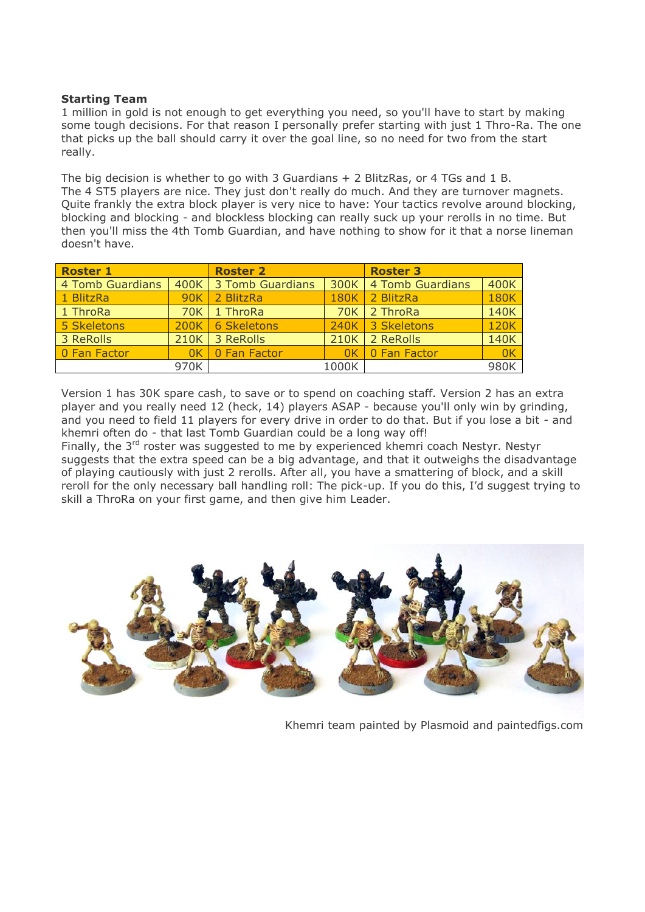# **Starting Team**

1 million in gold is not enough to get everything you need, so you'll have to start by making some tough decisions. For that reason I personally prefer starting with just 1 Thro-Ra. The one that picks up the ball should carry it over the goal line, so no need for two from the start really.

The big decision is whether to go with 3 Guardians + 2 BlitzRas, or 4 TGs and 1 B. The 4 ST5 players are nice. They just don't really do much. And they are turnover magnets. Quite frankly the extra block player is very nice to have: Your tactics revolve around blocking, blocking and blocking - and blockless blocking can really suck up your rerolls in no time. But then you'll miss the 4th Tomb Guardian, and have nothing to show for it that a norse lineman doesn't have.

| <b>Roster 1</b>  |        | <b>Roster 2</b>    |             | <b>Roster 3</b>         |             |
|------------------|--------|--------------------|-------------|-------------------------|-------------|
| 4 Tomb Guardians | 400K   | 3 Tomb Guardians   |             | 300K   4 Tomb Guardians | 400K        |
| 1 BlitzRa        | 90K    | 2 BlitzRa          | <b>180K</b> | 2 BlitzRa               | <b>180K</b> |
| 1 ThroRa         | 70K    | 1 ThroRa           |             | 70K 2 ThroRa            | 140K        |
| 5 Skeletons      | 200K L | <b>6 Skeletons</b> |             | 240K 3 Skeletons        | <b>120K</b> |
| 3 ReRolls        | 210K   | 3 ReRolls          | 210K        | 2 ReRolls               | 140K        |
| 0 Fan Factor     | 0K     | 0 Fan Factor       | 0K          | 0 Fan Factor            | 0K          |
| 970K             |        | 1000K              |             | 980K                    |             |

Version 1 has 30K spare cash, to save or to spend on coaching staff. Version 2 has an extra player and you really need 12 (heck, 14) players ASAP - because you'll only win by grinding, and you need to field 11 players for every drive in order to do that. But if you lose a bit - and khemri often do - that last Tomb Guardian could be a long way off!

Finally, the 3<sup>rd</sup> roster was suggested to me by experienced khemri coach Nestyr. Nestyr suggests that the extra speed can be a big advantage, and that it outweighs the disadvantage of playing cautiously with just 2 rerolls. After all, you have a smattering of block, and a skill reroll for the only necessary ball handling roll: The pick-up. If you do this, I'd suggest trying to skill a ThroRa on your first game, and then give him Leader.



Khemri team painted by Plasmoid and paintedfigs.com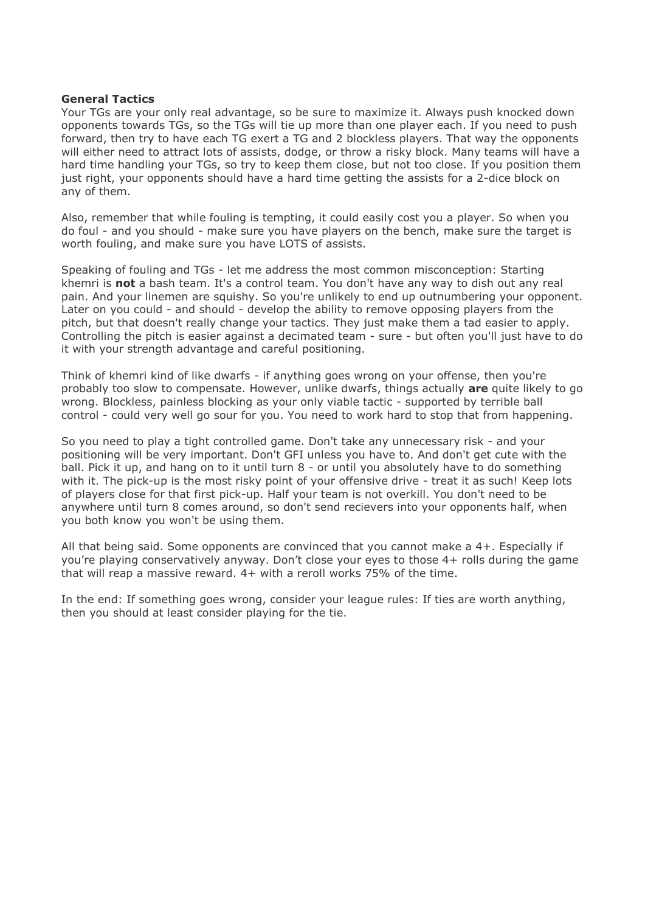#### **General Tactics**

Your TGs are your only real advantage, so be sure to maximize it. Always push knocked down opponents towards TGs, so the TGs will tie up more than one player each. If you need to push forward, then try to have each TG exert a TG and 2 blockless players. That way the opponents will either need to attract lots of assists, dodge, or throw a risky block. Many teams will have a hard time handling your TGs, so try to keep them close, but not too close. If you position them just right, your opponents should have a hard time getting the assists for a 2-dice block on any of them.

Also, remember that while fouling is tempting, it could easily cost you a player. So when you do foul - and you should - make sure you have players on the bench, make sure the target is worth fouling, and make sure you have LOTS of assists.

Speaking of fouling and TGs - let me address the most common misconception: Starting khemri is **not** a bash team. It's a control team. You don't have any way to dish out any real pain. And your linemen are squishy. So you're unlikely to end up outnumbering your opponent. Later on you could - and should - develop the ability to remove opposing players from the pitch, but that doesn't really change your tactics. They just make them a tad easier to apply. Controlling the pitch is easier against a decimated team - sure - but often you'll just have to do it with your strength advantage and careful positioning.

Think of khemri kind of like dwarfs - if anything goes wrong on your offense, then you're probably too slow to compensate. However, unlike dwarfs, things actually **are** quite likely to go wrong. Blockless, painless blocking as your only viable tactic - supported by terrible ball control - could very well go sour for you. You need to work hard to stop that from happening.

So you need to play a tight controlled game. Don't take any unnecessary risk - and your positioning will be very important. Don't GFI unless you have to. And don't get cute with the ball. Pick it up, and hang on to it until turn 8 - or until you absolutely have to do something with it. The pick-up is the most risky point of your offensive drive - treat it as such! Keep lots of players close for that first pick-up. Half your team is not overkill. You don't need to be anywhere until turn 8 comes around, so don't send recievers into your opponents half, when you both know you won't be using them.

All that being said. Some opponents are convinced that you cannot make a 4+. Especially if you're playing conservatively anyway. Don't close your eyes to those 4+ rolls during the game that will reap a massive reward. 4+ with a reroll works 75% of the time.

In the end: If something goes wrong, consider your league rules: If ties are worth anything, then you should at least consider playing for the tie.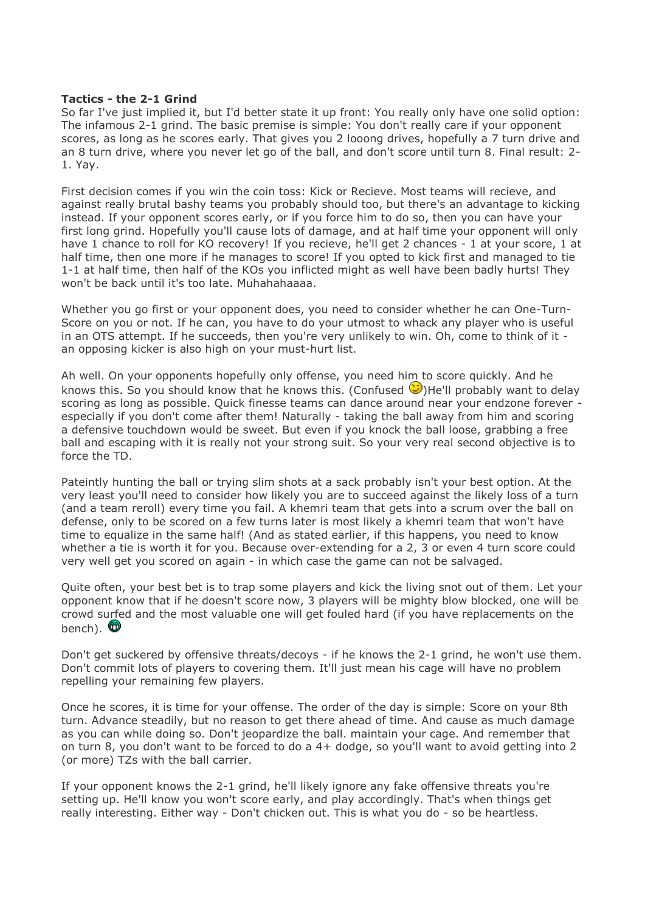#### **Tactics - the 2-1 Grind**

So far I've just implied it, but I'd better state it up front: You really only have one solid option: The infamous 2-1 grind. The basic premise is simple: You don't really care if your opponent scores, as long as he scores early. That gives you 2 looong drives, hopefully a 7 turn drive and an 8 turn drive, where you never let go of the ball, and don't score until turn 8. Final result: 2- 1. Yay.

First decision comes if you win the coin toss: Kick or Recieve. Most teams will recieve, and against really brutal bashy teams you probably should too, but there's an advantage to kicking instead. If your opponent scores early, or if you force him to do so, then you can have your first long grind. Hopefully you'll cause lots of damage, and at half time your opponent will only have 1 chance to roll for KO recovery! If you recieve, he'll get 2 chances - 1 at your score, 1 at half time, then one more if he manages to score! If you opted to kick first and managed to tie 1-1 at half time, then half of the KOs you inflicted might as well have been badly hurts! They won't be back until it's too late. Muhahahaaaaa.

Whether you go first or your opponent does, you need to consider whether he can One-Turn-Score on you or not. If he can, you have to do your utmost to whack any player who is useful in an OTS attempt. If he succeeds, then you're very unlikely to win. Oh, come to think of it an opposing kicker is also high on your must-hurt list.

Ah well. On your opponents hopefully only offense, you need him to score quickly. And he knows this. So you should know that he knows this. (Confused  $\bigcirc$ )He'll probably want to delay scoring as long as possible. Quick finesse teams can dance around near your endzone forever especially if you don't come after them! Naturally - taking the ball away from him and scoring a defensive touchdown would be sweet. But even if you knock the ball loose, grabbing a free ball and escaping with it is really not your strong suit. So your very real second objective is to force the TD.

Pateintly hunting the ball or trying slim shots at a sack probably isn't your best option. At the very least you'll need to consider how likely you are to succeed against the likely loss of a turn (and a team reroll) every time you fail. A khemri team that gets into a scrum over the ball on defense, only to be scored on a few turns later is most likely a khemri team that won't have time to equalize in the same half! (And as stated earlier, if this happens, you need to know whether a tie is worth it for you. Because over-extending for a 2, 3 or even 4 turn score could very well get you scored on again - in which case the game can not be salvaged.

Quite often, your best bet is to trap some players and kick the living snot out of them. Let your opponent know that if he doesn't score now, 3 players will be mighty blow blocked, one will be crowd surfed and the most valuable one will get fouled hard (if you have replacements on the bench).  $\mathbf{\mathbb{C}}$ 

Don't get suckered by offensive threats/decoys - if he knows the 2-1 grind, he won't use them. Don't commit lots of players to covering them. It'll just mean his cage will have no problem repelling your remaining few players.

Once he scores, it is time for your offense. The order of the day is simple: Score on your 8th turn. Advance steadily, but no reason to get there ahead of time. And cause as much damage as you can while doing so. Don't jeopardize the ball. maintain your cage. And remember that on turn 8, you don't want to be forced to do a 4+ dodge, so you'll want to avoid getting into 2 (or more) TZs with the ball carrier.

If your opponent knows the 2-1 grind, he'll likely ignore any fake offensive threats you're setting up. He'll know you won't score early, and play accordingly. That's when things get really interesting. Either way - Don't chicken out. This is what you do - so be heartless.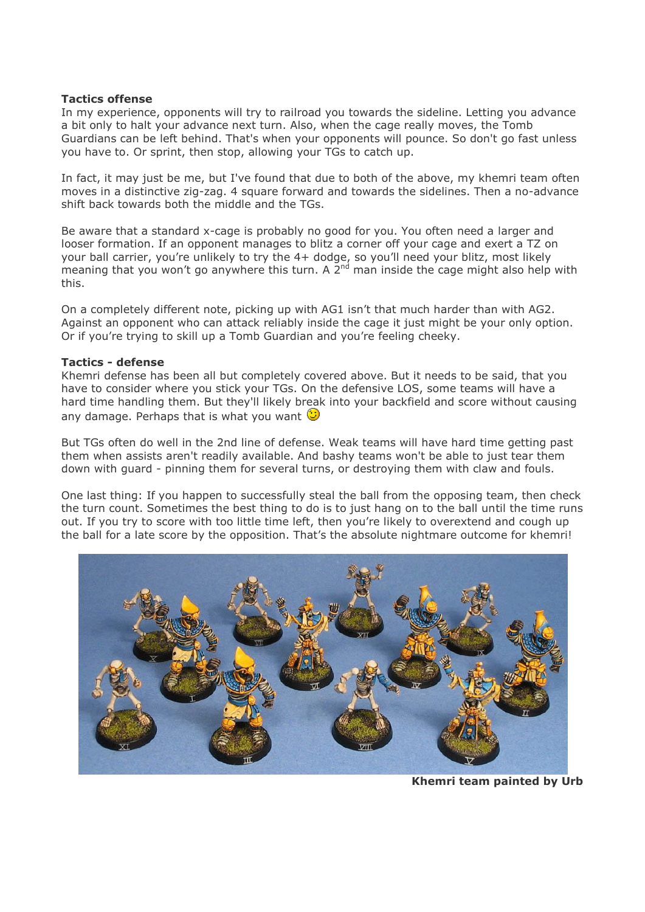#### **Tactics offense**

In my experience, opponents will try to railroad you towards the sideline. Letting you advance a bit only to halt your advance next turn. Also, when the cage really moves, the Tomb Guardians can be left behind. That's when your opponents will pounce. So don't go fast unless you have to. Or sprint, then stop, allowing your TGs to catch up.

In fact, it may just be me, but I've found that due to both of the above, my khemri team often moves in a distinctive zig-zag. 4 square forward and towards the sidelines. Then a no-advance shift back towards both the middle and the TGs.

Be aware that a standard x-cage is probably no good for you. You often need a larger and looser formation. If an opponent manages to blitz a corner off your cage and exert a TZ on your ball carrier, you're unlikely to try the 4+ dodge, so you'll need your blitz, most likely meaning that you won't go anywhere this turn. A  $2<sup>nd</sup>$  man inside the cage might also help with this.

On a completely different note, picking up with AG1 isn't that much harder than with AG2. Against an opponent who can attack reliably inside the cage it just might be your only option. Or if you're trying to skill up a Tomb Guardian and you're feeling cheeky.

#### **Tactics - defense**

Khemri defense has been all but completely covered above. But it needs to be said, that you have to consider where you stick your TGs. On the defensive LOS, some teams will have a hard time handling them. But they'll likely break into your backfield and score without causing any damage. Perhaps that is what you want  $\mathbb{C}$ 

But TGs often do well in the 2nd line of defense. Weak teams will have hard time getting past them when assists aren't readily available. And bashy teams won't be able to just tear them down with guard - pinning them for several turns, or destroying them with claw and fouls.

One last thing: If you happen to successfully steal the ball from the opposing team, then check the turn count. Sometimes the best thing to do is to just hang on to the ball until the time runs out. If you try to score with too little time left, then you're likely to overextend and cough up the ball for a late score by the opposition. That's the absolute nightmare outcome for khemri!



**Khemri team painted by Urb**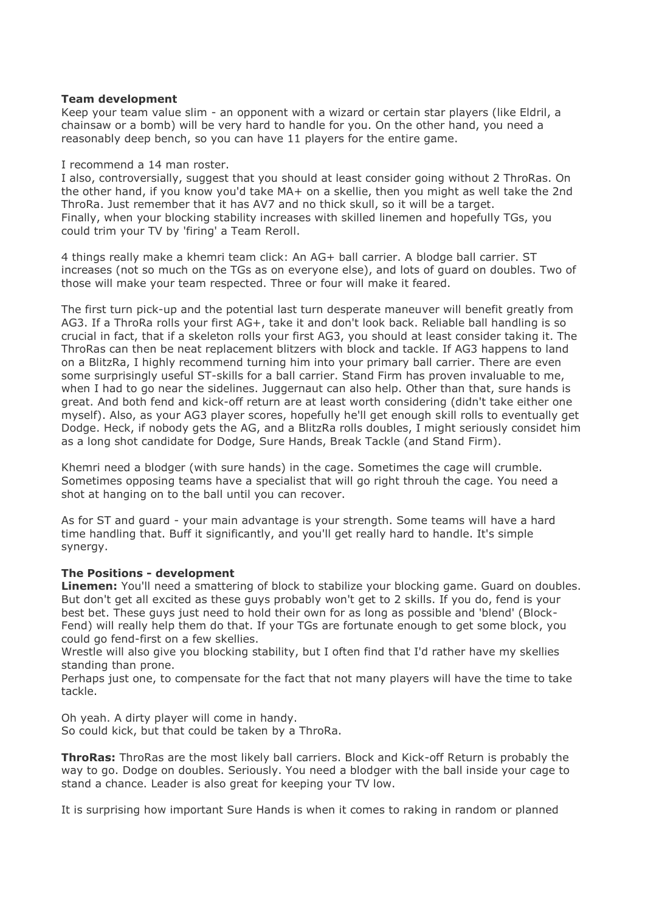#### **Team development**

Keep your team value slim - an opponent with a wizard or certain star players (like Eldril, a chainsaw or a bomb) will be very hard to handle for you. On the other hand, you need a reasonably deep bench, so you can have 11 players for the entire game.

#### I recommend a 14 man roster.

I also, controversially, suggest that you should at least consider going without 2 ThroRas. On the other hand, if you know you'd take MA+ on a skellie, then you might as well take the 2nd ThroRa. Just remember that it has AV7 and no thick skull, so it will be a target. Finally, when your blocking stability increases with skilled linemen and hopefully TGs, you could trim your TV by 'firing' a Team Reroll.

4 things really make a khemri team click: An AG+ ball carrier. A blodge ball carrier. ST increases (not so much on the TGs as on everyone else), and lots of guard on doubles. Two of those will make your team respected. Three or four will make it feared.

The first turn pick-up and the potential last turn desperate maneuver will benefit greatly from AG3. If a ThroRa rolls your first AG+, take it and don't look back. Reliable ball handling is so crucial in fact, that if a skeleton rolls your first AG3, you should at least consider taking it. The ThroRas can then be neat replacement blitzers with block and tackle. If AG3 happens to land on a BlitzRa, I highly recommend turning him into your primary ball carrier. There are even some surprisingly useful ST-skills for a ball carrier. Stand Firm has proven invaluable to me, when I had to go near the sidelines. Juggernaut can also help. Other than that, sure hands is great. And both fend and kick-off return are at least worth considering (didn't take either one myself). Also, as your AG3 player scores, hopefully he'll get enough skill rolls to eventually get Dodge. Heck, if nobody gets the AG, and a BlitzRa rolls doubles, I might seriously considet him as a long shot candidate for Dodge, Sure Hands, Break Tackle (and Stand Firm).

Khemri need a blodger (with sure hands) in the cage. Sometimes the cage will crumble. Sometimes opposing teams have a specialist that will go right throuh the cage. You need a shot at hanging on to the ball until you can recover.

As for ST and guard - your main advantage is your strength. Some teams will have a hard time handling that. Buff it significantly, and you'll get really hard to handle. It's simple synergy.

# **The Positions - development**

**Linemen:** You'll need a smattering of block to stabilize your blocking game. Guard on doubles. But don't get all excited as these guys probably won't get to 2 skills. If you do, fend is your best bet. These guys just need to hold their own for as long as possible and 'blend' (Block-Fend) will really help them do that. If your TGs are fortunate enough to get some block, you could go fend-first on a few skellies.

Wrestle will also give you blocking stability, but I often find that I'd rather have my skellies standing than prone.

Perhaps just one, to compensate for the fact that not many players will have the time to take tackle.

Oh yeah. A dirty player will come in handy. So could kick, but that could be taken by a ThroRa.

**ThroRas:** ThroRas are the most likely ball carriers. Block and Kick-off Return is probably the way to go. Dodge on doubles. Seriously. You need a blodger with the ball inside your cage to stand a chance. Leader is also great for keeping your TV low.

It is surprising how important Sure Hands is when it comes to raking in random or planned